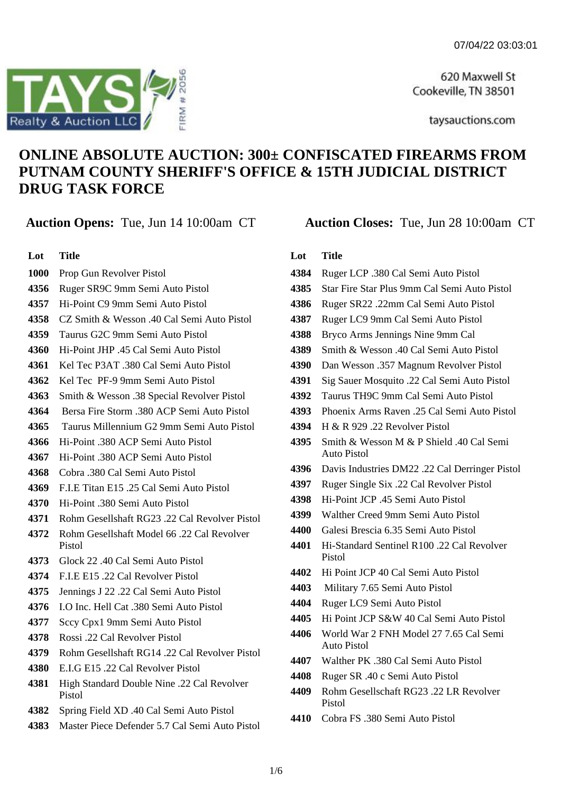620 Maxwell St Cookeville, TN 38501

taysauctions.com

# **ONLINE ABSOLUTE AUCTION: 300± CONFISCATED FIREARMS FROM PUTNAM COUNTY SHERIFF'S OFFICE & 15TH JUDICIAL DISTRICT DRUG TASK FORCE**

**Lot Title**

- Prop Gun Revolver Pistol
- Ruger SR9C 9mm Semi Auto Pistol
- Hi-Point C9 9mm Semi Auto Pistol
- CZ Smith & Wesson .40 Cal Semi Auto Pistol
- Taurus G2C 9mm Semi Auto Pistol
- Hi-Point JHP .45 Cal Semi Auto Pistol
- Kel Tec P3AT .380 Cal Semi Auto Pistol
- Kel Tec PF-9 9mm Semi Auto Pistol
- Smith & Wesson .38 Special Revolver Pistol
- Bersa Fire Storm .380 ACP Semi Auto Pistol
- Taurus Millennium G2 9mm Semi Auto Pistol
- 4366 Hi-Point 380 ACP Semi Auto Pistol
- Hi-Point .380 ACP Semi Auto Pistol
- Cobra .380 Cal Semi Auto Pistol
- F.I.E Titan E15 .25 Cal Semi Auto Pistol
- Hi-Point .380 Semi Auto Pistol
- Rohm Gesellshaft RG23 .22 Cal Revolver Pistol
- Rohm Gesellshaft Model 66 .22 Cal Revolver Pistol
- Glock 22 .40 Cal Semi Auto Pistol
- F.I.E E15 .22 Cal Revolver Pistol
- Jennings J 22 .22 Cal Semi Auto Pistol
- I.O Inc. Hell Cat .380 Semi Auto Pistol
- Sccy Cpx1 9mm Semi Auto Pistol
- Rossi .22 Cal Revolver Pistol
- Rohm Gesellshaft RG14 .22 Cal Revolver Pistol
- E.I.G E15 .22 Cal Revolver Pistol
- High Standard Double Nine .22 Cal Revolver Pistol
- Spring Field XD .40 Cal Semi Auto Pistol
- Master Piece Defender 5.7 Cal Semi Auto Pistol

# **Lot Title**

 Ruger LCP .380 Cal Semi Auto Pistol Star Fire Star Plus 9mm Cal Semi Auto Pistol Ruger SR22 .22mm Cal Semi Auto Pistol Ruger LC9 9mm Cal Semi Auto Pistol Bryco Arms Jennings Nine 9mm Cal Smith & Wesson .40 Cal Semi Auto Pistol Dan Wesson .357 Magnum Revolver Pistol Sig Sauer Mosquito .22 Cal Semi Auto Pistol Taurus TH9C 9mm Cal Semi Auto Pistol Phoenix Arms Raven .25 Cal Semi Auto Pistol H & R 929 .22 Revolver Pistol Smith & Wesson M & P Shield 40 Cal Semi Auto Pistol Davis Industries DM22 .22 Cal Derringer Pistol Ruger Single Six .22 Cal Revolver Pistol Hi-Point JCP .45 Semi Auto Pistol Walther Creed 9mm Semi Auto Pistol Galesi Brescia 6.35 Semi Auto Pistol Hi-Standard Sentinel R100 .22 Cal Revolver Pistol Hi Point JCP 40 Cal Semi Auto Pistol Military 7.65 Semi Auto Pistol Ruger LC9 Semi Auto Pistol Hi Point JCP S&W 40 Cal Semi Auto Pistol World War 2 FNH Model 27 7.65 Cal Semi Auto Pistol Walther PK .380 Cal Semi Auto Pistol Ruger SR .40 c Semi Auto Pistol Rohm Gesellschaft RG23 .22 LR Revolver Pistol Cobra FS .380 Semi Auto Pistol



# **Auction Opens:** Tue, Jun 14 10:00am CT **Auction Closes:** Tue, Jun 28 10:00am CT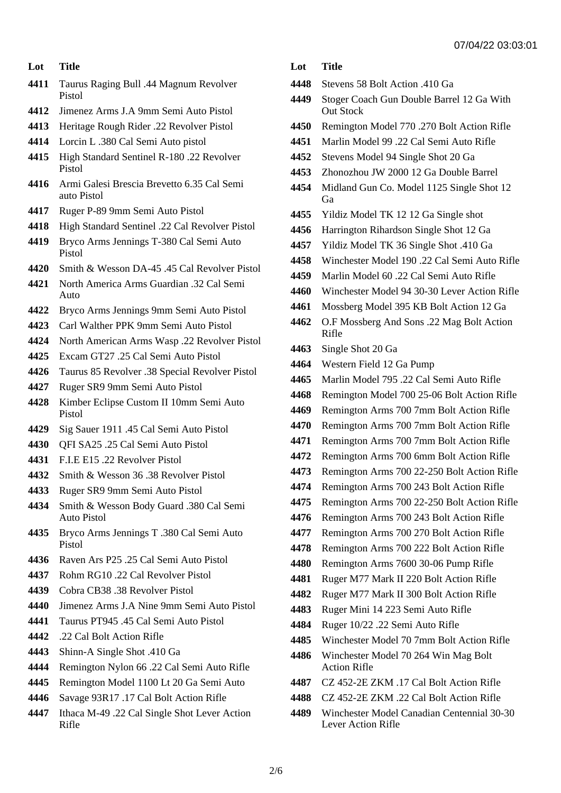## **Lot Title**

- Taurus Raging Bull .44 Magnum Revolver Pistol
- Jimenez Arms J.A 9mm Semi Auto Pistol
- Heritage Rough Rider .22 Revolver Pistol
- Lorcin L .380 Cal Semi Auto pistol
- High Standard Sentinel R-180 .22 Revolver Pistol
- Armi Galesi Brescia Brevetto 6.35 Cal Semi auto Pistol
- Ruger P-89 9mm Semi Auto Pistol
- High Standard Sentinel .22 Cal Revolver Pistol
- Bryco Arms Jennings T-380 Cal Semi Auto Pistol
- Smith & Wesson DA-45 .45 Cal Revolver Pistol
- North America Arms Guardian .32 Cal Semi Auto
- Bryco Arms Jennings 9mm Semi Auto Pistol
- Carl Walther PPK 9mm Semi Auto Pistol
- North American Arms Wasp .22 Revolver Pistol
- Excam GT27 .25 Cal Semi Auto Pistol
- Taurus 85 Revolver .38 Special Revolver Pistol
- Ruger SR9 9mm Semi Auto Pistol
- Kimber Eclipse Custom II 10mm Semi Auto Pistol
- Sig Sauer 1911 .45 Cal Semi Auto Pistol
- QFI SA25 .25 Cal Semi Auto Pistol
- F.I.E E15 .22 Revolver Pistol
- Smith & Wesson 36 .38 Revolver Pistol
- Ruger SR9 9mm Semi Auto Pistol
- Smith & Wesson Body Guard .380 Cal Semi Auto Pistol
- Bryco Arms Jennings T .380 Cal Semi Auto Pistol
- Raven Ars P25 .25 Cal Semi Auto Pistol
- Rohm RG10 .22 Cal Revolver Pistol
- Cobra CB38 .38 Revolver Pistol
- Jimenez Arms J.A Nine 9mm Semi Auto Pistol
- Taurus PT945 .45 Cal Semi Auto Pistol
- .22 Cal Bolt Action Rifle
- Shinn-A Single Shot .410 Ga
- Remington Nylon 66 .22 Cal Semi Auto Rifle
- Remington Model 1100 Lt 20 Ga Semi Auto
- Savage 93R17 .17 Cal Bolt Action Rifle
- Ithaca M-49 .22 Cal Single Shot Lever Action Rifle

# **Lot Title**

- Stevens 58 Bolt Action .410 Ga
- Stoger Coach Gun Double Barrel 12 Ga With Out Stock
- Remington Model 770 .270 Bolt Action Rifle
- Marlin Model 99 .22 Cal Semi Auto Rifle
- Stevens Model 94 Single Shot 20 Ga
- Zhonozhou JW 2000 12 Ga Double Barrel
- Midland Gun Co. Model 1125 Single Shot 12 Ga
- Yildiz Model TK 12 12 Ga Single shot
- Harrington Rihardson Single Shot 12 Ga
- Yildiz Model TK 36 Single Shot .410 Ga
- Winchester Model 190 .22 Cal Semi Auto Rifle
- Marlin Model 60 .22 Cal Semi Auto Rifle
- Winchester Model 94 30-30 Lever Action Rifle
- Mossberg Model 395 KB Bolt Action 12 Ga
- O.F Mossberg And Sons .22 Mag Bolt Action Rifle
- Single Shot 20 Ga
- Western Field 12 Ga Pump
- Marlin Model 795 .22 Cal Semi Auto Rifle
- Remington Model 700 25-06 Bolt Action Rifle
- Remington Arms 700 7mm Bolt Action Rifle
- Remington Arms 700 7mm Bolt Action Rifle
- Remington Arms 700 7mm Bolt Action Rifle
- Remington Arms 700 6mm Bolt Action Rifle
- Remington Arms 700 22-250 Bolt Action Rifle
- Remington Arms 700 243 Bolt Action Rifle
- Remington Arms 700 22-250 Bolt Action Rifle
- Remington Arms 700 243 Bolt Action Rifle
- Remington Arms 700 270 Bolt Action Rifle
- Remington Arms 700 222 Bolt Action Rifle
- Remington Arms 7600 30-06 Pump Rifle
- Ruger M77 Mark II 220 Bolt Action Rifle
- Ruger M77 Mark II 300 Bolt Action Rifle
- Ruger Mini 14 223 Semi Auto Rifle
- Ruger 10/22 .22 Semi Auto Rifle
- Winchester Model 70 7mm Bolt Action Rifle
- Winchester Model 70 264 Win Mag Bolt Action Rifle
- CZ 452-2E ZKM .17 Cal Bolt Action Rifle
- CZ 452-2E ZKM .22 Cal Bolt Action Rifle
- Winchester Model Canadian Centennial 30-30 Lever Action Rifle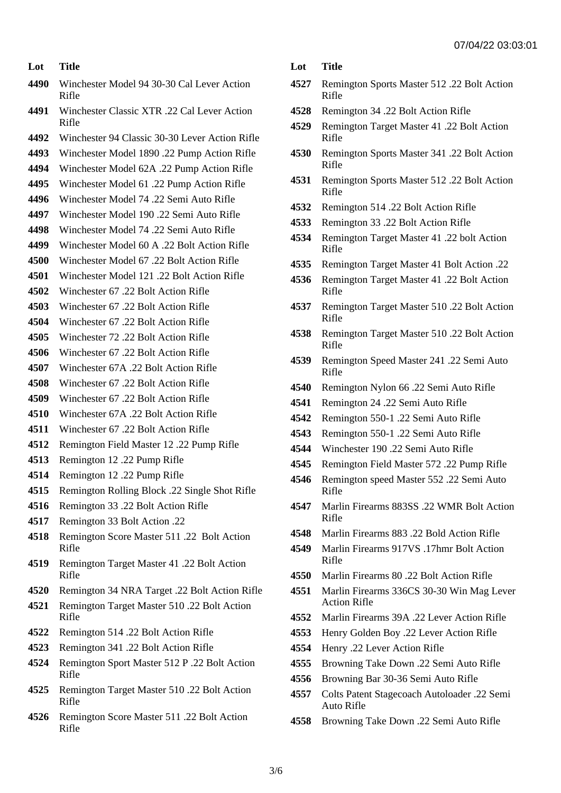| Lot  | <b>Title</b>                                         |
|------|------------------------------------------------------|
| 4490 | Winchester Model 94 30-30 Cal Lever Action<br>Rifle  |
| 4491 | Winchester Classic XTR .22 Cal Lever Action<br>Rifle |
| 4492 | Winchester 94 Classic 30-30 Lever Action Rifle       |
| 4493 | Winchester Model 1890.22 Pump Action Rifle           |
| 4494 | Winchester Model 62A .22 Pump Action Rifle           |
| 4495 | Winchester Model 61 .22 Pump Action Rifle            |
| 4496 | Winchester Model 74 .22 Semi Auto Rifle              |
| 4497 | Winchester Model 190.22 Semi Auto Rifle              |
| 4498 | Winchester Model 74 .22 Semi Auto Rifle              |
| 4499 | Winchester Model 60 A .22 Bolt Action Rifle          |
| 4500 | Winchester Model 67 .22 Bolt Action Rifle            |
| 4501 | Winchester Model 121 .22 Bolt Action Rifle           |
| 4502 | Winchester 67 .22 Bolt Action Rifle                  |
| 4503 | Winchester 67 .22 Bolt Action Rifle                  |
| 4504 | Winchester 67 .22 Bolt Action Rifle                  |
| 4505 | Winchester 72 .22 Bolt Action Rifle                  |
| 4506 | Winchester 67 .22 Bolt Action Rifle                  |
| 4507 | Winchester 67A .22 Bolt Action Rifle                 |
| 4508 | Winchester 67 .22 Bolt Action Rifle                  |
| 4509 | Winchester 67 .22 Bolt Action Rifle                  |
| 4510 | Winchester 67A .22 Bolt Action Rifle                 |
| 4511 | Winchester 67 .22 Bolt Action Rifle                  |
| 4512 | Remington Field Master 12 .22 Pump Rifle             |
| 4513 | Remington 12 .22 Pump Rifle                          |
| 4514 | Remington 12.22 Pump Rifle                           |
| 4515 | Remington Rolling Block .22 Single Shot Rifle        |
| 4516 | Remington 33 .22 Bolt Action Rifle                   |
| 4517 | Remington 33 Bolt Action .22                         |
| 4518 | Remington Score Master 511 .22 Bolt Action<br>Rifle  |
| 4519 | Remington Target Master 41 .22 Bolt Action<br>Rifle  |
| 4520 | Remington 34 NRA Target .22 Bolt Action Rifle        |
| 4521 | Remington Target Master 510 .22 Bolt Action<br>Rifle |

- Remington 514 .22 Bolt Action Rifle
- Remington 341 .22 Bolt Action Rifle
- Remington Sport Master 512 P .22 Bolt Action Rifle
- Remington Target Master 510 .22 Bolt Action Rifle
- Remington Score Master 511 .22 Bolt Action Rifle
- **Lot Title**
- Remington Sports Master 512 .22 Bolt Action Rifle
- Remington 34 .22 Bolt Action Rifle
- Remington Target Master 41 .22 Bolt Action Rifle
- Remington Sports Master 341 .22 Bolt Action Rifle
- Remington Sports Master 512 .22 Bolt Action Rifle
- Remington 514 .22 Bolt Action Rifle
- Remington 33 .22 Bolt Action Rifle
- Remington Target Master 41 .22 bolt Action Rifle
- Remington Target Master 41 Bolt Action .22
- Remington Target Master 41 .22 Bolt Action Rifle
- Remington Target Master 510 .22 Bolt Action Rifle
- Remington Target Master 510 .22 Bolt Action Rifle
- Remington Speed Master 241 .22 Semi Auto Rifle
- Remington Nylon 66 .22 Semi Auto Rifle
- Remington 24 .22 Semi Auto Rifle
- Remington 550-1 .22 Semi Auto Rifle
- Remington 550-1 .22 Semi Auto Rifle
- Winchester 190 .22 Semi Auto Rifle
- Remington Field Master 572 .22 Pump Rifle
- Remington speed Master 552 .22 Semi Auto Rifle
- Marlin Firearms 883SS .22 WMR Bolt Action Rifle
- Marlin Firearms 883 .22 Bold Action Rifle
- Marlin Firearms 917VS .17hmr Bolt Action Rifle
- Marlin Firearms 80 .22 Bolt Action Rifle
- Marlin Firearms 336CS 30-30 Win Mag Lever Action Rifle
- Marlin Firearms 39A .22 Lever Action Rifle
- Henry Golden Boy .22 Lever Action Rifle
- Henry .22 Lever Action Rifle
- Browning Take Down .22 Semi Auto Rifle
- Browning Bar 30-36 Semi Auto Rifle
- Colts Patent Stagecoach Autoloader .22 Semi Auto Rifle
- Browning Take Down .22 Semi Auto Rifle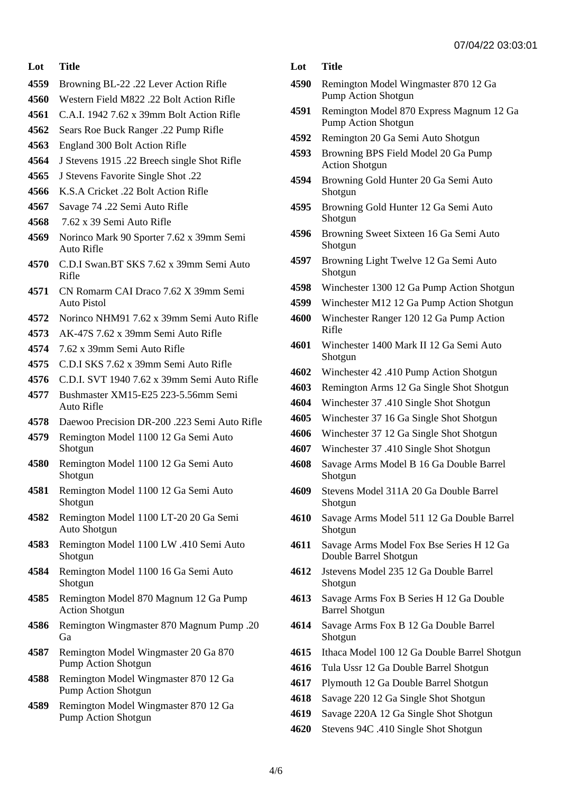#### **Lot Title**

- Browning BL-22 .22 Lever Action Rifle
- Western Field M822 .22 Bolt Action Rifle
- C.A.I. 1942 7.62 x 39mm Bolt Action Rifle
- Sears Roe Buck Ranger .22 Pump Rifle
- England 300 Bolt Action Rifle
- J Stevens 1915 .22 Breech single Shot Rifle
- J Stevens Favorite Single Shot .22
- K.S.A Cricket .22 Bolt Action Rifle
- Savage 74 .22 Semi Auto Rifle
- 7.62 x 39 Semi Auto Rifle
- Norinco Mark 90 Sporter 7.62 x 39mm Semi Auto Rifle
- C.D.I Swan.BT SKS 7.62 x 39mm Semi Auto Rifle
- CN Romarm CAI Draco 7.62 X 39mm Semi Auto Pistol
- Norinco NHM91 7.62 x 39mm Semi Auto Rifle
- AK-47S 7.62 x 39mm Semi Auto Rifle
- 7.62 x 39mm Semi Auto Rifle
- C.D.I SKS 7.62 x 39mm Semi Auto Rifle
- C.D.I. SVT 1940 7.62 x 39mm Semi Auto Rifle
- Bushmaster XM15-E25 223-5.56mm Semi Auto Rifle
- Daewoo Precision DR-200 .223 Semi Auto Rifle
- Remington Model 1100 12 Ga Semi Auto Shotgun
- Remington Model 1100 12 Ga Semi Auto Shotgun
- Remington Model 1100 12 Ga Semi Auto Shotgun
- Remington Model 1100 LT-20 20 Ga Semi Auto Shotgun
- Remington Model 1100 LW .410 Semi Auto Shotgun
- Remington Model 1100 16 Ga Semi Auto Shotgun
- Remington Model 870 Magnum 12 Ga Pump Action Shotgun
- Remington Wingmaster 870 Magnum Pump .20 Ga
- Remington Model Wingmaster 20 Ga 870 Pump Action Shotgun
- Remington Model Wingmaster 870 12 Ga Pump Action Shotgun
- Remington Model Wingmaster 870 12 Ga Pump Action Shotgun

### **Lot Title**

- Remington Model Wingmaster 870 12 Ga Pump Action Shotgun
- Remington Model 870 Express Magnum 12 Ga Pump Action Shotgun
- Remington 20 Ga Semi Auto Shotgun
- Browning BPS Field Model 20 Ga Pump Action Shotgun
- Browning Gold Hunter 20 Ga Semi Auto Shotgun
- Browning Gold Hunter 12 Ga Semi Auto Shotgun
- Browning Sweet Sixteen 16 Ga Semi Auto Shotgun
- Browning Light Twelve 12 Ga Semi Auto Shotgun
- Winchester 1300 12 Ga Pump Action Shotgun
- Winchester M12 12 Ga Pump Action Shotgun
- Winchester Ranger 120 12 Ga Pump Action Rifle
- Winchester 1400 Mark II 12 Ga Semi Auto Shotgun
- Winchester 42 .410 Pump Action Shotgun
- Remington Arms 12 Ga Single Shot Shotgun
- Winchester 37 .410 Single Shot Shotgun
- Winchester 37 16 Ga Single Shot Shotgun
- Winchester 37 12 Ga Single Shot Shotgun
- Winchester 37 .410 Single Shot Shotgun
- Savage Arms Model B 16 Ga Double Barrel Shotgun
- Stevens Model 311A 20 Ga Double Barrel Shotgun
- Savage Arms Model 511 12 Ga Double Barrel Shotgun
- Savage Arms Model Fox Bse Series H 12 Ga Double Barrel Shotgun
- Jstevens Model 235 12 Ga Double Barrel Shotgun
- Savage Arms Fox B Series H 12 Ga Double Barrel Shotgun
- Savage Arms Fox B 12 Ga Double Barrel Shotgun
- Ithaca Model 100 12 Ga Double Barrel Shotgun
- Tula Ussr 12 Ga Double Barrel Shotgun
- Plymouth 12 Ga Double Barrel Shotgun
- Savage 220 12 Ga Single Shot Shotgun
- Savage 220A 12 Ga Single Shot Shotgun
- Stevens 94C .410 Single Shot Shotgun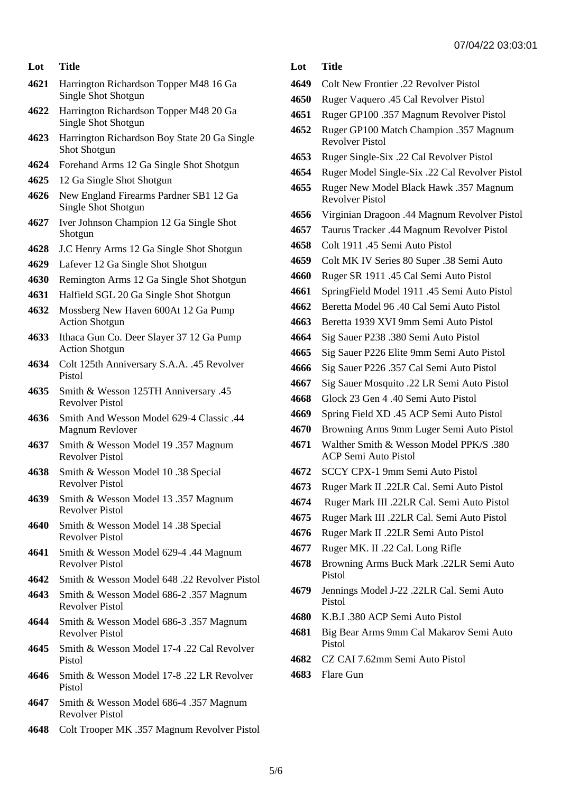#### **Lot Title**

- Harrington Richardson Topper M48 16 Ga Single Shot Shotgun
- Harrington Richardson Topper M48 20 Ga Single Shot Shotgun
- Harrington Richardson Boy State 20 Ga Single Shot Shotgun
- Forehand Arms 12 Ga Single Shot Shotgun
- 12 Ga Single Shot Shotgun
- New England Firearms Pardner SB1 12 Ga Single Shot Shotgun
- Iver Johnson Champion 12 Ga Single Shot Shotgun
- J.C Henry Arms 12 Ga Single Shot Shotgun
- Lafever 12 Ga Single Shot Shotgun
- Remington Arms 12 Ga Single Shot Shotgun
- Halfield SGL 20 Ga Single Shot Shotgun
- Mossberg New Haven 600At 12 Ga Pump Action Shotgun
- Ithaca Gun Co. Deer Slayer 37 12 Ga Pump Action Shotgun
- Colt 125th Anniversary S.A.A. .45 Revolver Pistol
- Smith & Wesson 125TH Anniversary .45 Revolver Pistol
- Smith And Wesson Model 629-4 Classic .44 Magnum Revlover
- Smith & Wesson Model 19 .357 Magnum Revolver Pistol
- Smith & Wesson Model 10 .38 Special Revolver Pistol
- Smith & Wesson Model 13 .357 Magnum Revolver Pistol
- Smith & Wesson Model 14 .38 Special Revolver Pistol
- Smith & Wesson Model 629-4 .44 Magnum Revolver Pistol
- Smith & Wesson Model 648 .22 Revolver Pistol
- Smith & Wesson Model 686-2 .357 Magnum Revolver Pistol
- Smith & Wesson Model 686-3 .357 Magnum Revolver Pistol
- Smith & Wesson Model 17-4 .22 Cal Revolver Pistol
- Smith & Wesson Model 17-8 .22 LR Revolver Pistol
- Smith & Wesson Model 686-4 .357 Magnum Revolver Pistol
- Colt Trooper MK .357 Magnum Revolver Pistol

## **Lot Title**

- Colt New Frontier .22 Revolver Pistol
- Ruger Vaquero .45 Cal Revolver Pistol
- Ruger GP100 .357 Magnum Revolver Pistol
- Ruger GP100 Match Champion .357 Magnum Revolver Pistol
- Ruger Single-Six .22 Cal Revolver Pistol
- Ruger Model Single-Six .22 Cal Revolver Pistol
- Ruger New Model Black Hawk .357 Magnum Revolver Pistol
- Virginian Dragoon .44 Magnum Revolver Pistol
- Taurus Tracker .44 Magnum Revolver Pistol
- Colt 1911 .45 Semi Auto Pistol
- Colt MK IV Series 80 Super .38 Semi Auto
- Ruger SR 1911 .45 Cal Semi Auto Pistol
- SpringField Model 1911 .45 Semi Auto Pistol
- Beretta Model 96 .40 Cal Semi Auto Pistol
- Beretta 1939 XVI 9mm Semi Auto Pistol
- Sig Sauer P238 .380 Semi Auto Pistol
- Sig Sauer P226 Elite 9mm Semi Auto Pistol
- Sig Sauer P226 .357 Cal Semi Auto Pistol
- Sig Sauer Mosquito .22 LR Semi Auto Pistol
- Glock 23 Gen 4 .40 Semi Auto Pistol
- Spring Field XD .45 ACP Semi Auto Pistol
- Browning Arms 9mm Luger Semi Auto Pistol
- Walther Smith & Wesson Model PPK/S .380 ACP Semi Auto Pistol
- SCCY CPX-1 9mm Semi Auto Pistol
- Ruger Mark II .22LR Cal. Semi Auto Pistol
- Ruger Mark III .22LR Cal. Semi Auto Pistol
- Ruger Mark III .22LR Cal. Semi Auto Pistol
- Ruger Mark II .22LR Semi Auto Pistol
- Ruger MK. II .22 Cal. Long Rifle
- Browning Arms Buck Mark .22LR Semi Auto Pistol
- Jennings Model J-22 .22LR Cal. Semi Auto Pistol
- K.B.I .380 ACP Semi Auto Pistol
- Big Bear Arms 9mm Cal Makarov Semi Auto Pistol
- CZ CAI 7.62mm Semi Auto Pistol
- Flare Gun